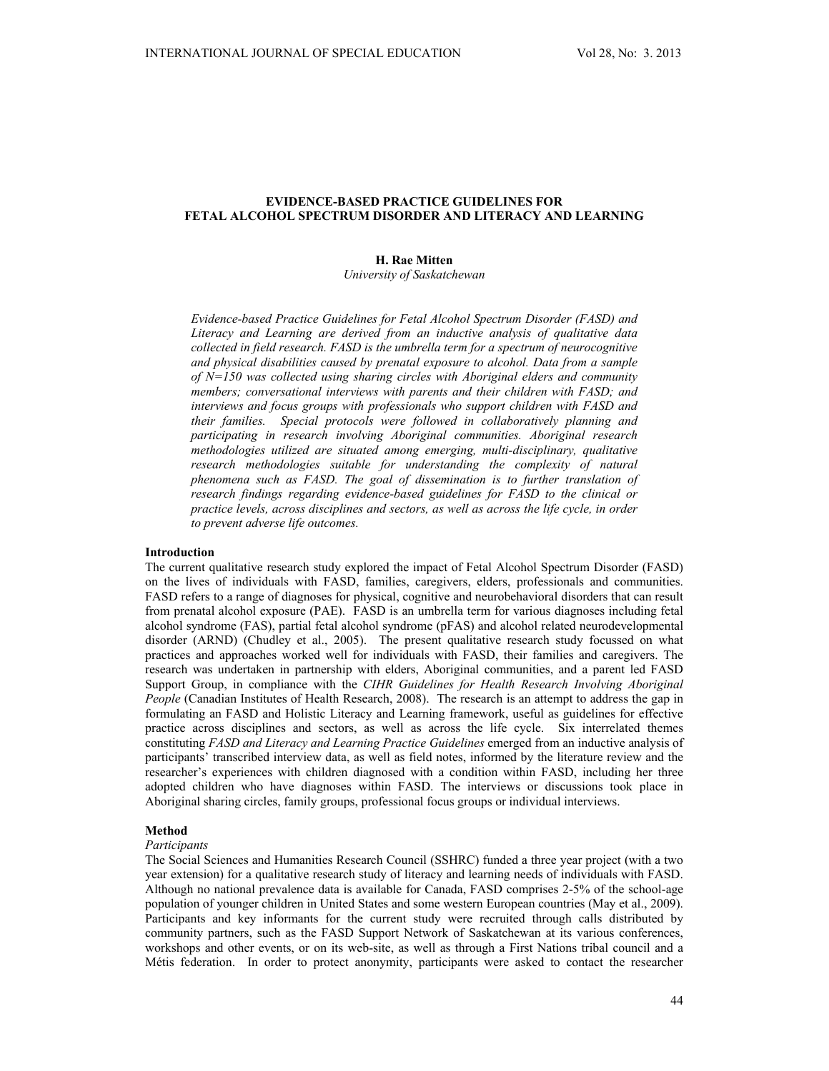## **EVIDENCE-BASED PRACTICE GUIDELINES FOR FETAL ALCOHOL SPECTRUM DISORDER AND LITERACY AND LEARNING**

# **H. Rae Mitten**

*University of Saskatchewan* 

*Evidence-based Practice Guidelines for Fetal Alcohol Spectrum Disorder (FASD) and Literacy and Learning are derived from an inductive analysis of qualitative data collected in field research. FASD is the umbrella term for a spectrum of neurocognitive and physical disabilities caused by prenatal exposure to alcohol. Data from a sample of N=150 was collected using sharing circles with Aboriginal elders and community members; conversational interviews with parents and their children with FASD; and interviews and focus groups with professionals who support children with FASD and their families. Special protocols were followed in collaboratively planning and participating in research involving Aboriginal communities. Aboriginal research methodologies utilized are situated among emerging, multi-disciplinary, qualitative*  research methodologies suitable for understanding the complexity of natural *phenomena such as FASD. The goal of dissemination is to further translation of research findings regarding evidence-based guidelines for FASD to the clinical or practice levels, across disciplines and sectors, as well as across the life cycle, in order to prevent adverse life outcomes.* 

#### **Introduction**

The current qualitative research study explored the impact of Fetal Alcohol Spectrum Disorder (FASD) on the lives of individuals with FASD, families, caregivers, elders, professionals and communities. FASD refers to a range of diagnoses for physical, cognitive and neurobehavioral disorders that can result from prenatal alcohol exposure (PAE). FASD is an umbrella term for various diagnoses including fetal alcohol syndrome (FAS), partial fetal alcohol syndrome (pFAS) and alcohol related neurodevelopmental disorder (ARND) (Chudley et al., 2005). The present qualitative research study focussed on what practices and approaches worked well for individuals with FASD, their families and caregivers. The research was undertaken in partnership with elders, Aboriginal communities, and a parent led FASD Support Group, in compliance with the *CIHR Guidelines for Health Research Involving Aboriginal People* (Canadian Institutes of Health Research, 2008). The research is an attempt to address the gap in formulating an FASD and Holistic Literacy and Learning framework, useful as guidelines for effective practice across disciplines and sectors, as well as across the life cycle. Six interrelated themes constituting *FASD and Literacy and Learning Practice Guidelines* emerged from an inductive analysis of participants' transcribed interview data, as well as field notes, informed by the literature review and the researcher's experiences with children diagnosed with a condition within FASD, including her three adopted children who have diagnoses within FASD. The interviews or discussions took place in Aboriginal sharing circles, family groups, professional focus groups or individual interviews.

## **Method**

#### *Participants*

The Social Sciences and Humanities Research Council (SSHRC) funded a three year project (with a two year extension) for a qualitative research study of literacy and learning needs of individuals with FASD. Although no national prevalence data is available for Canada, FASD comprises 2-5% of the school-age population of younger children in United States and some western European countries (May et al., 2009). Participants and key informants for the current study were recruited through calls distributed by community partners, such as the FASD Support Network of Saskatchewan at its various conferences, workshops and other events, or on its web-site, as well as through a First Nations tribal council and a Métis federation. In order to protect anonymity, participants were asked to contact the researcher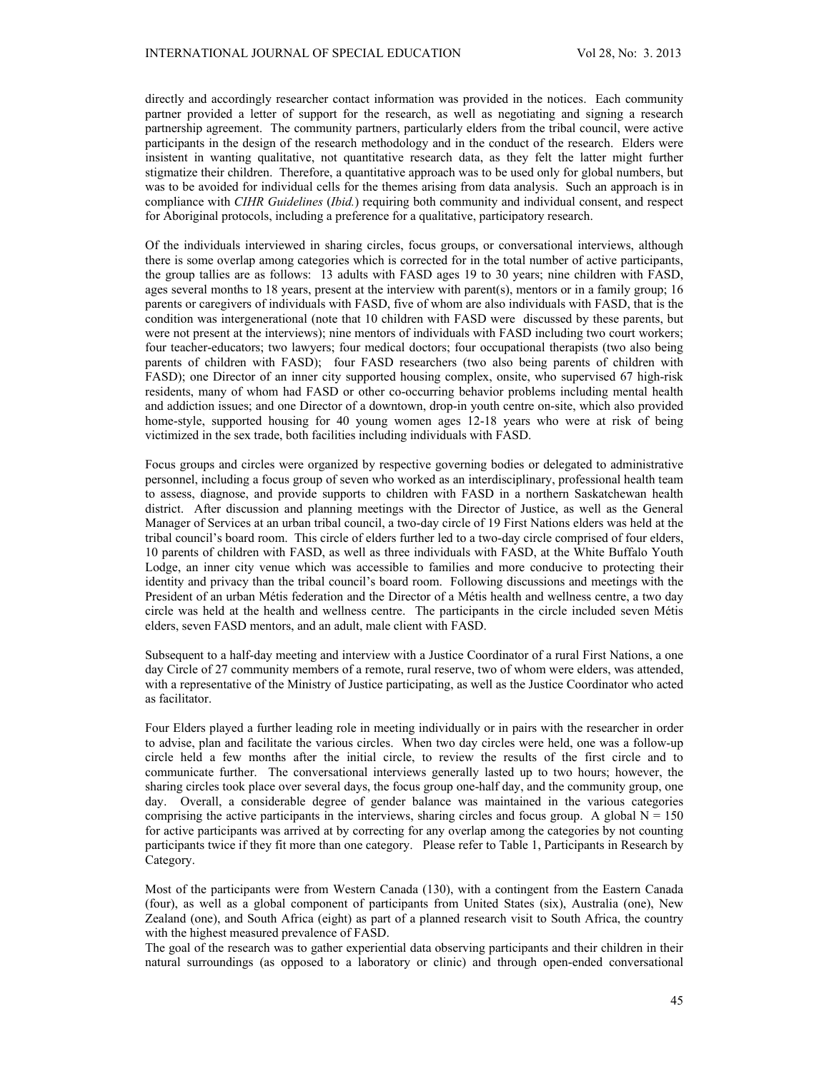directly and accordingly researcher contact information was provided in the notices. Each community partner provided a letter of support for the research, as well as negotiating and signing a research partnership agreement. The community partners, particularly elders from the tribal council, were active participants in the design of the research methodology and in the conduct of the research. Elders were insistent in wanting qualitative, not quantitative research data, as they felt the latter might further stigmatize their children. Therefore, a quantitative approach was to be used only for global numbers, but was to be avoided for individual cells for the themes arising from data analysis. Such an approach is in compliance with *CIHR Guidelines* (*Ibid.*) requiring both community and individual consent, and respect for Aboriginal protocols, including a preference for a qualitative, participatory research.

Of the individuals interviewed in sharing circles, focus groups, or conversational interviews, although there is some overlap among categories which is corrected for in the total number of active participants, the group tallies are as follows: 13 adults with FASD ages 19 to 30 years; nine children with FASD, ages several months to 18 years, present at the interview with parent(s), mentors or in a family group; 16 parents or caregivers of individuals with FASD, five of whom are also individuals with FASD, that is the condition was intergenerational (note that 10 children with FASD were discussed by these parents, but were not present at the interviews); nine mentors of individuals with FASD including two court workers; four teacher-educators; two lawyers; four medical doctors; four occupational therapists (two also being parents of children with FASD); four FASD researchers (two also being parents of children with FASD); one Director of an inner city supported housing complex, onsite, who supervised 67 high-risk residents, many of whom had FASD or other co-occurring behavior problems including mental health and addiction issues; and one Director of a downtown, drop-in youth centre on-site, which also provided home-style, supported housing for 40 young women ages 12-18 years who were at risk of being victimized in the sex trade, both facilities including individuals with FASD.

Focus groups and circles were organized by respective governing bodies or delegated to administrative personnel, including a focus group of seven who worked as an interdisciplinary, professional health team to assess, diagnose, and provide supports to children with FASD in a northern Saskatchewan health district. After discussion and planning meetings with the Director of Justice, as well as the General Manager of Services at an urban tribal council, a two-day circle of 19 First Nations elders was held at the tribal council's board room. This circle of elders further led to a two-day circle comprised of four elders, 10 parents of children with FASD, as well as three individuals with FASD, at the White Buffalo Youth Lodge, an inner city venue which was accessible to families and more conducive to protecting their identity and privacy than the tribal council's board room. Following discussions and meetings with the President of an urban Métis federation and the Director of a Métis health and wellness centre, a two day circle was held at the health and wellness centre. The participants in the circle included seven Métis elders, seven FASD mentors, and an adult, male client with FASD.

Subsequent to a half-day meeting and interview with a Justice Coordinator of a rural First Nations, a one day Circle of 27 community members of a remote, rural reserve, two of whom were elders, was attended, with a representative of the Ministry of Justice participating, as well as the Justice Coordinator who acted as facilitator.

Four Elders played a further leading role in meeting individually or in pairs with the researcher in order to advise, plan and facilitate the various circles. When two day circles were held, one was a follow-up circle held a few months after the initial circle, to review the results of the first circle and to communicate further. The conversational interviews generally lasted up to two hours; however, the sharing circles took place over several days, the focus group one-half day, and the community group, one day. Overall, a considerable degree of gender balance was maintained in the various categories comprising the active participants in the interviews, sharing circles and focus group. A global  $N = 150$ for active participants was arrived at by correcting for any overlap among the categories by not counting participants twice if they fit more than one category. Please refer to Table 1, Participants in Research by Category.

Most of the participants were from Western Canada (130), with a contingent from the Eastern Canada (four), as well as a global component of participants from United States (six), Australia (one), New Zealand (one), and South Africa (eight) as part of a planned research visit to South Africa, the country with the highest measured prevalence of FASD.

The goal of the research was to gather experiential data observing participants and their children in their natural surroundings (as opposed to a laboratory or clinic) and through open-ended conversational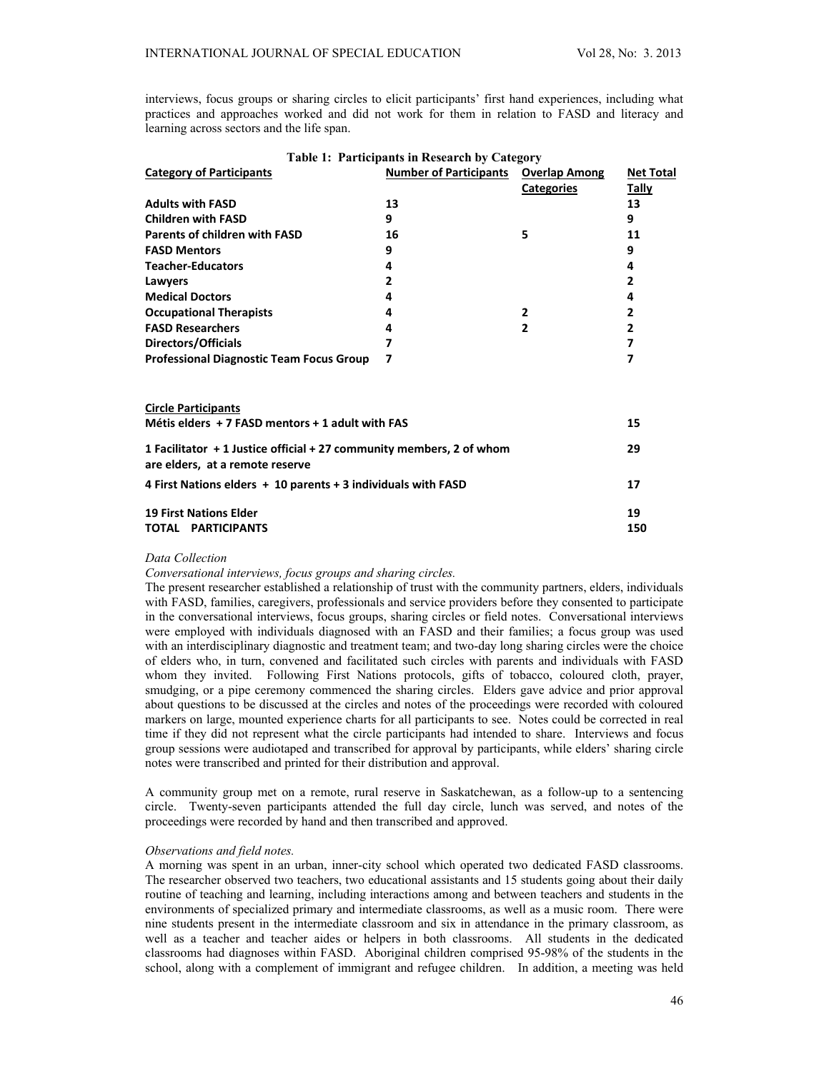interviews, focus groups or sharing circles to elicit participants' first hand experiences, including what practices and approaches worked and did not work for them in relation to FASD and literacy and learning across sectors and the life span.

|                                                                      | Table 1: Participants in Research by Category |                   |                  |
|----------------------------------------------------------------------|-----------------------------------------------|-------------------|------------------|
| <b>Category of Participants</b>                                      | <b>Number of Participants Overlap Among</b>   |                   | <b>Net Total</b> |
|                                                                      |                                               | <b>Categories</b> | Tally            |
| <b>Adults with FASD</b>                                              | 13                                            |                   | 13               |
| <b>Children with FASD</b>                                            | 9                                             |                   | 9                |
| Parents of children with FASD                                        | 16                                            | 5                 | 11               |
| <b>FASD Mentors</b>                                                  | 9                                             |                   | 9                |
| <b>Teacher-Educators</b>                                             | 4                                             |                   | 4                |
| Lawyers                                                              | $\overline{2}$                                |                   | $\overline{2}$   |
| <b>Medical Doctors</b>                                               | 4                                             |                   | 4                |
| <b>Occupational Therapists</b>                                       | 4                                             | $\mathbf{2}$      | $\overline{2}$   |
| <b>FASD Researchers</b>                                              | 4                                             | $\mathbf{2}$      | $\overline{2}$   |
| Directors/Officials                                                  | $\overline{\mathbf{z}}$                       |                   | $\overline{ }$   |
| <b>Professional Diagnostic Team Focus Group</b>                      | 7                                             |                   | 7                |
|                                                                      |                                               |                   |                  |
|                                                                      |                                               |                   |                  |
| <b>Circle Participants</b>                                           |                                               |                   |                  |
| Métis elders + 7 FASD mentors + 1 adult with FAS                     |                                               |                   | 15               |
| 1 Facilitator + 1 Justice official + 27 community members, 2 of whom |                                               |                   | 29               |
| are elders, at a remote reserve                                      |                                               |                   |                  |
|                                                                      |                                               |                   | 17               |
| 4 First Nations elders + 10 parents + 3 individuals with FASD        |                                               |                   |                  |
| <b>19 First Nations Elder</b>                                        |                                               |                   | 19               |
| TOTAL PARTICIPANTS                                                   |                                               |                   | 150              |
|                                                                      |                                               |                   |                  |

# *Data Collection*

*Conversational interviews, focus groups and sharing circles.* 

The present researcher established a relationship of trust with the community partners, elders, individuals with FASD, families, caregivers, professionals and service providers before they consented to participate in the conversational interviews, focus groups, sharing circles or field notes. Conversational interviews were employed with individuals diagnosed with an FASD and their families; a focus group was used with an interdisciplinary diagnostic and treatment team; and two-day long sharing circles were the choice of elders who, in turn, convened and facilitated such circles with parents and individuals with FASD whom they invited. Following First Nations protocols, gifts of tobacco, coloured cloth, prayer, smudging, or a pipe ceremony commenced the sharing circles. Elders gave advice and prior approval about questions to be discussed at the circles and notes of the proceedings were recorded with coloured markers on large, mounted experience charts for all participants to see. Notes could be corrected in real time if they did not represent what the circle participants had intended to share. Interviews and focus group sessions were audiotaped and transcribed for approval by participants, while elders' sharing circle notes were transcribed and printed for their distribution and approval.

A community group met on a remote, rural reserve in Saskatchewan, as a follow-up to a sentencing circle. Twenty-seven participants attended the full day circle, lunch was served, and notes of the proceedings were recorded by hand and then transcribed and approved.

## *Observations and field notes.*

A morning was spent in an urban, inner-city school which operated two dedicated FASD classrooms. The researcher observed two teachers, two educational assistants and 15 students going about their daily routine of teaching and learning, including interactions among and between teachers and students in the environments of specialized primary and intermediate classrooms, as well as a music room. There were nine students present in the intermediate classroom and six in attendance in the primary classroom, as well as a teacher and teacher aides or helpers in both classrooms. All students in the dedicated classrooms had diagnoses within FASD. Aboriginal children comprised 95-98% of the students in the school, along with a complement of immigrant and refugee children. In addition, a meeting was held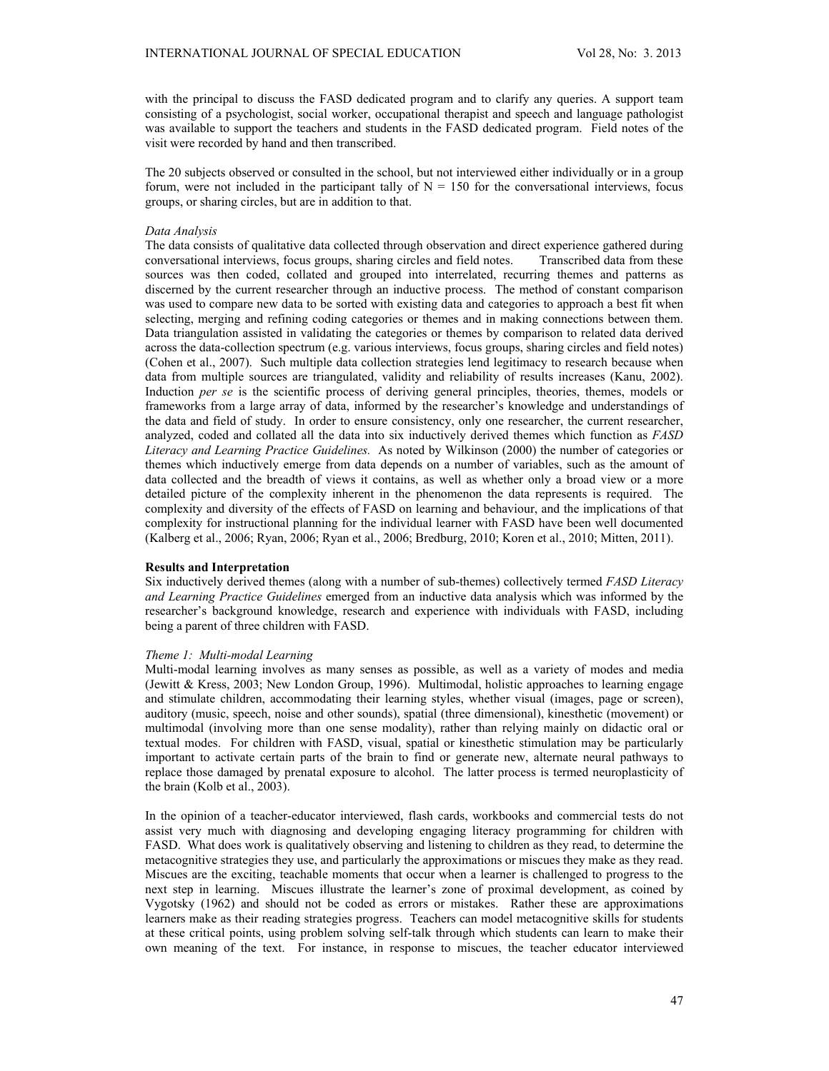with the principal to discuss the FASD dedicated program and to clarify any queries. A support team consisting of a psychologist, social worker, occupational therapist and speech and language pathologist was available to support the teachers and students in the FASD dedicated program. Field notes of the visit were recorded by hand and then transcribed.

The 20 subjects observed or consulted in the school, but not interviewed either individually or in a group forum, were not included in the participant tally of  $N = 150$  for the conversational interviews, focus groups, or sharing circles, but are in addition to that.

### *Data Analysis*

The data consists of qualitative data collected through observation and direct experience gathered during conversational interviews, focus groups, sharing circles and field notes. Transcribed data from these sources was then coded, collated and grouped into interrelated, recurring themes and patterns as discerned by the current researcher through an inductive process. The method of constant comparison was used to compare new data to be sorted with existing data and categories to approach a best fit when selecting, merging and refining coding categories or themes and in making connections between them. Data triangulation assisted in validating the categories or themes by comparison to related data derived across the data-collection spectrum (e.g. various interviews, focus groups, sharing circles and field notes) (Cohen et al., 2007). Such multiple data collection strategies lend legitimacy to research because when data from multiple sources are triangulated, validity and reliability of results increases (Kanu, 2002). Induction *per se* is the scientific process of deriving general principles, theories, themes, models or frameworks from a large array of data, informed by the researcher's knowledge and understandings of the data and field of study. In order to ensure consistency, only one researcher, the current researcher, analyzed, coded and collated all the data into six inductively derived themes which function as *FASD Literacy and Learning Practice Guidelines.* As noted by Wilkinson (2000) the number of categories or themes which inductively emerge from data depends on a number of variables, such as the amount of data collected and the breadth of views it contains, as well as whether only a broad view or a more detailed picture of the complexity inherent in the phenomenon the data represents is required. The complexity and diversity of the effects of FASD on learning and behaviour, and the implications of that complexity for instructional planning for the individual learner with FASD have been well documented (Kalberg et al., 2006; Ryan, 2006; Ryan et al., 2006; Bredburg, 2010; Koren et al., 2010; Mitten, 2011).

## **Results and Interpretation**

Six inductively derived themes (along with a number of sub-themes) collectively termed *FASD Literacy and Learning Practice Guidelines* emerged from an inductive data analysis which was informed by the researcher's background knowledge, research and experience with individuals with FASD, including being a parent of three children with FASD.

### *Theme 1: Multi-modal Learning*

Multi-modal learning involves as many senses as possible, as well as a variety of modes and media (Jewitt & Kress, 2003; New London Group, 1996). Multimodal, holistic approaches to learning engage and stimulate children, accommodating their learning styles, whether visual (images, page or screen), auditory (music, speech, noise and other sounds), spatial (three dimensional), kinesthetic (movement) or multimodal (involving more than one sense modality), rather than relying mainly on didactic oral or textual modes. For children with FASD, visual, spatial or kinesthetic stimulation may be particularly important to activate certain parts of the brain to find or generate new, alternate neural pathways to replace those damaged by prenatal exposure to alcohol. The latter process is termed neuroplasticity of the brain (Kolb et al., 2003).

In the opinion of a teacher-educator interviewed, flash cards, workbooks and commercial tests do not assist very much with diagnosing and developing engaging literacy programming for children with FASD. What does work is qualitatively observing and listening to children as they read, to determine the metacognitive strategies they use, and particularly the approximations or miscues they make as they read. Miscues are the exciting, teachable moments that occur when a learner is challenged to progress to the next step in learning. Miscues illustrate the learner's zone of proximal development, as coined by Vygotsky (1962) and should not be coded as errors or mistakes. Rather these are approximations learners make as their reading strategies progress. Teachers can model metacognitive skills for students at these critical points, using problem solving self-talk through which students can learn to make their own meaning of the text. For instance, in response to miscues, the teacher educator interviewed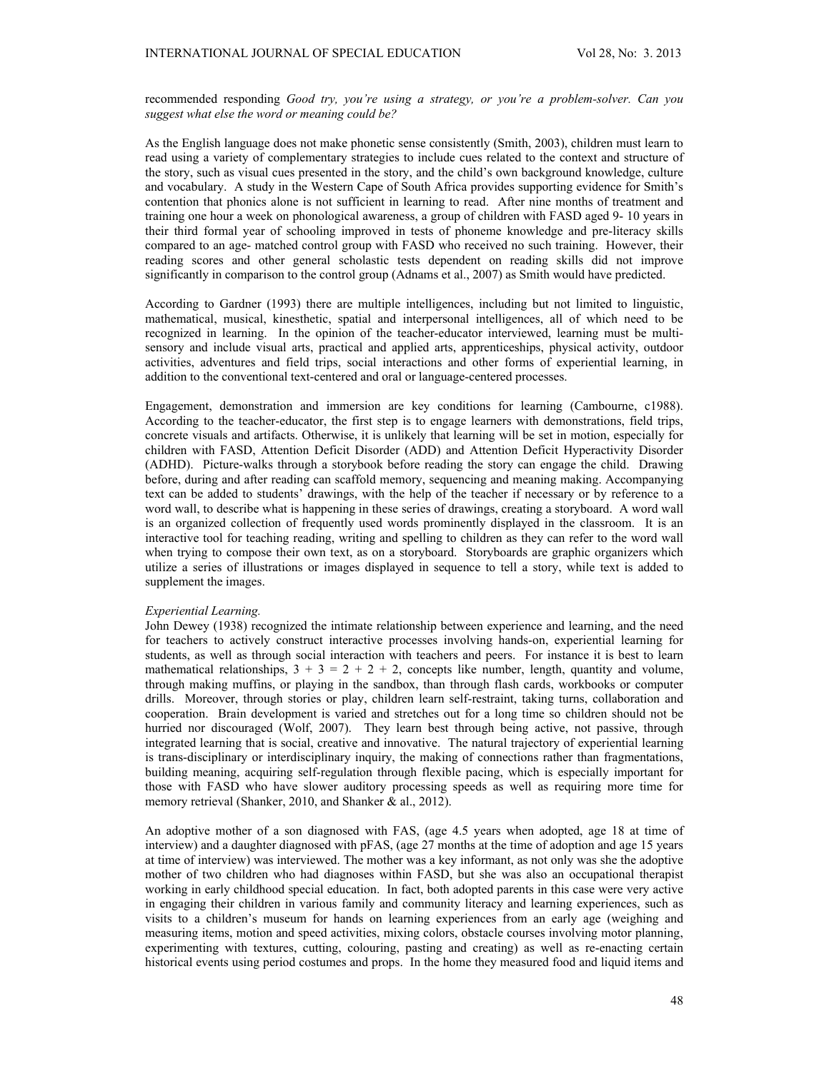recommended responding *Good try, you're using a strategy, or you're a problem-solver. Can you suggest what else the word or meaning could be?* 

As the English language does not make phonetic sense consistently (Smith, 2003), children must learn to read using a variety of complementary strategies to include cues related to the context and structure of the story, such as visual cues presented in the story, and the child's own background knowledge, culture and vocabulary. A study in the Western Cape of South Africa provides supporting evidence for Smith's contention that phonics alone is not sufficient in learning to read. After nine months of treatment and training one hour a week on phonological awareness, a group of children with FASD aged 9- 10 years in their third formal year of schooling improved in tests of phoneme knowledge and pre-literacy skills compared to an age- matched control group with FASD who received no such training. However, their reading scores and other general scholastic tests dependent on reading skills did not improve significantly in comparison to the control group (Adnams et al., 2007) as Smith would have predicted.

According to Gardner (1993) there are multiple intelligences, including but not limited to linguistic, mathematical, musical, kinesthetic, spatial and interpersonal intelligences, all of which need to be recognized in learning. In the opinion of the teacher-educator interviewed, learning must be multisensory and include visual arts, practical and applied arts, apprenticeships, physical activity, outdoor activities, adventures and field trips, social interactions and other forms of experiential learning, in addition to the conventional text-centered and oral or language-centered processes.

Engagement, demonstration and immersion are key conditions for learning (Cambourne, c1988). According to the teacher-educator, the first step is to engage learners with demonstrations, field trips, concrete visuals and artifacts. Otherwise, it is unlikely that learning will be set in motion, especially for children with FASD, Attention Deficit Disorder (ADD) and Attention Deficit Hyperactivity Disorder (ADHD). Picture-walks through a storybook before reading the story can engage the child. Drawing before, during and after reading can scaffold memory, sequencing and meaning making. Accompanying text can be added to students' drawings, with the help of the teacher if necessary or by reference to a word wall, to describe what is happening in these series of drawings, creating a storyboard. A word wall is an organized collection of frequently used words prominently displayed in the classroom. It is an interactive tool for teaching reading, writing and spelling to children as they can refer to the word wall when trying to compose their own text, as on a storyboard. Storyboards are graphic organizers which utilize a series of illustrations or images displayed in sequence to tell a story, while text is added to supplement the images.

#### *Experiential Learning.*

John Dewey (1938) recognized the intimate relationship between experience and learning, and the need for teachers to actively construct interactive processes involving hands-on, experiential learning for students, as well as through social interaction with teachers and peers. For instance it is best to learn mathematical relationships,  $3 + 3 = 2 + 2 + 2$ , concepts like number, length, quantity and volume, through making muffins, or playing in the sandbox, than through flash cards, workbooks or computer drills. Moreover, through stories or play, children learn self-restraint, taking turns, collaboration and cooperation. Brain development is varied and stretches out for a long time so children should not be hurried nor discouraged (Wolf, 2007). They learn best through being active, not passive, through integrated learning that is social, creative and innovative. The natural trajectory of experiential learning is trans-disciplinary or interdisciplinary inquiry, the making of connections rather than fragmentations, building meaning, acquiring self-regulation through flexible pacing, which is especially important for those with FASD who have slower auditory processing speeds as well as requiring more time for memory retrieval (Shanker, 2010, and Shanker & al., 2012).

An adoptive mother of a son diagnosed with FAS, (age 4.5 years when adopted, age 18 at time of interview) and a daughter diagnosed with pFAS, (age 27 months at the time of adoption and age 15 years at time of interview) was interviewed. The mother was a key informant, as not only was she the adoptive mother of two children who had diagnoses within FASD, but she was also an occupational therapist working in early childhood special education. In fact, both adopted parents in this case were very active in engaging their children in various family and community literacy and learning experiences, such as visits to a children's museum for hands on learning experiences from an early age (weighing and measuring items, motion and speed activities, mixing colors, obstacle courses involving motor planning, experimenting with textures, cutting, colouring, pasting and creating) as well as re-enacting certain historical events using period costumes and props. In the home they measured food and liquid items and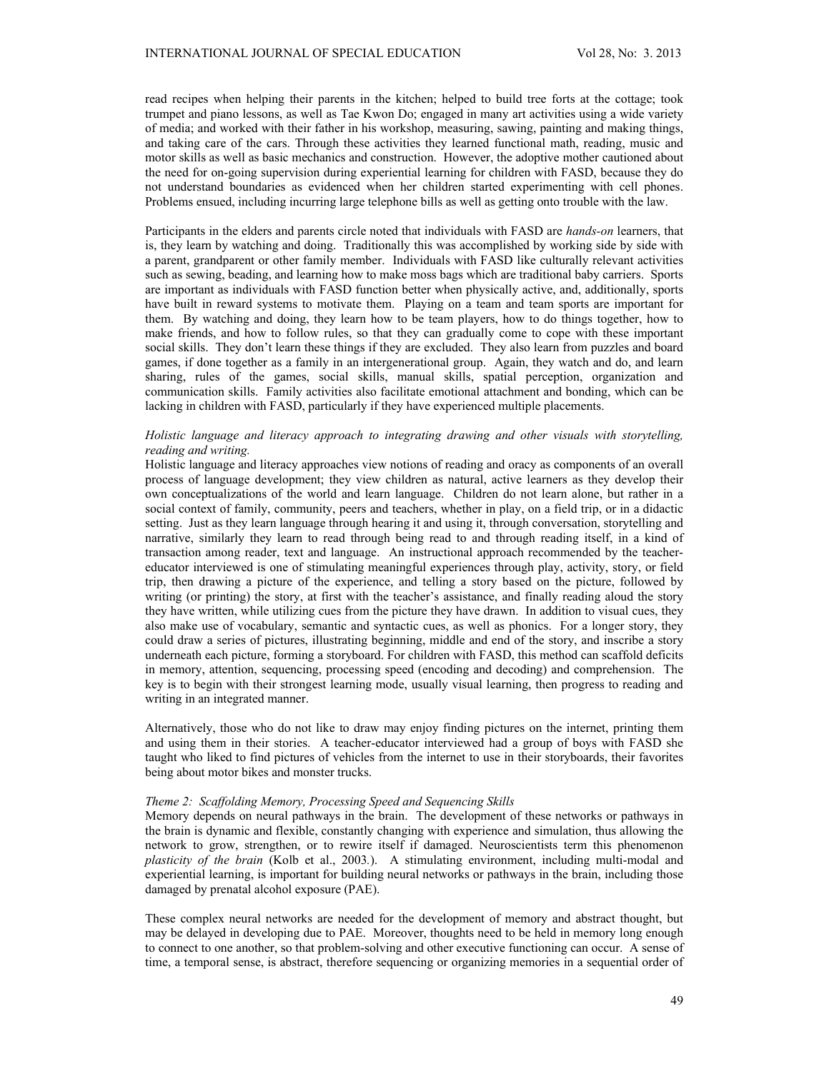read recipes when helping their parents in the kitchen; helped to build tree forts at the cottage; took trumpet and piano lessons, as well as Tae Kwon Do; engaged in many art activities using a wide variety of media; and worked with their father in his workshop, measuring, sawing, painting and making things, and taking care of the cars. Through these activities they learned functional math, reading, music and motor skills as well as basic mechanics and construction. However, the adoptive mother cautioned about the need for on-going supervision during experiential learning for children with FASD, because they do not understand boundaries as evidenced when her children started experimenting with cell phones. Problems ensued, including incurring large telephone bills as well as getting onto trouble with the law.

Participants in the elders and parents circle noted that individuals with FASD are *hands-on* learners, that is, they learn by watching and doing. Traditionally this was accomplished by working side by side with a parent, grandparent or other family member. Individuals with FASD like culturally relevant activities such as sewing, beading, and learning how to make moss bags which are traditional baby carriers. Sports are important as individuals with FASD function better when physically active, and, additionally, sports have built in reward systems to motivate them. Playing on a team and team sports are important for them. By watching and doing, they learn how to be team players, how to do things together, how to make friends, and how to follow rules, so that they can gradually come to cope with these important social skills. They don't learn these things if they are excluded. They also learn from puzzles and board games, if done together as a family in an intergenerational group. Again, they watch and do, and learn sharing, rules of the games, social skills, manual skills, spatial perception, organization and communication skills. Family activities also facilitate emotional attachment and bonding, which can be lacking in children with FASD, particularly if they have experienced multiple placements.

## *Holistic language and literacy approach to integrating drawing and other visuals with storytelling, reading and writing.*

Holistic language and literacy approaches view notions of reading and oracy as components of an overall process of language development; they view children as natural, active learners as they develop their own conceptualizations of the world and learn language. Children do not learn alone, but rather in a social context of family, community, peers and teachers, whether in play, on a field trip, or in a didactic setting. Just as they learn language through hearing it and using it, through conversation, storytelling and narrative, similarly they learn to read through being read to and through reading itself, in a kind of transaction among reader, text and language. An instructional approach recommended by the teachereducator interviewed is one of stimulating meaningful experiences through play, activity, story, or field trip, then drawing a picture of the experience, and telling a story based on the picture, followed by writing (or printing) the story, at first with the teacher's assistance, and finally reading aloud the story they have written, while utilizing cues from the picture they have drawn. In addition to visual cues, they also make use of vocabulary, semantic and syntactic cues, as well as phonics. For a longer story, they could draw a series of pictures, illustrating beginning, middle and end of the story, and inscribe a story underneath each picture, forming a storyboard. For children with FASD, this method can scaffold deficits in memory, attention, sequencing, processing speed (encoding and decoding) and comprehension. The key is to begin with their strongest learning mode, usually visual learning, then progress to reading and writing in an integrated manner.

Alternatively, those who do not like to draw may enjoy finding pictures on the internet, printing them and using them in their stories. A teacher-educator interviewed had a group of boys with FASD she taught who liked to find pictures of vehicles from the internet to use in their storyboards, their favorites being about motor bikes and monster trucks.

#### *Theme 2: Scaffolding Memory, Processing Speed and Sequencing Skills*

Memory depends on neural pathways in the brain. The development of these networks or pathways in the brain is dynamic and flexible, constantly changing with experience and simulation, thus allowing the network to grow, strengthen, or to rewire itself if damaged. Neuroscientists term this phenomenon *plasticity of the brain* (Kolb et al., 2003*.*). A stimulating environment, including multi-modal and experiential learning, is important for building neural networks or pathways in the brain, including those damaged by prenatal alcohol exposure (PAE).

These complex neural networks are needed for the development of memory and abstract thought, but may be delayed in developing due to PAE. Moreover, thoughts need to be held in memory long enough to connect to one another, so that problem-solving and other executive functioning can occur. A sense of time, a temporal sense, is abstract, therefore sequencing or organizing memories in a sequential order of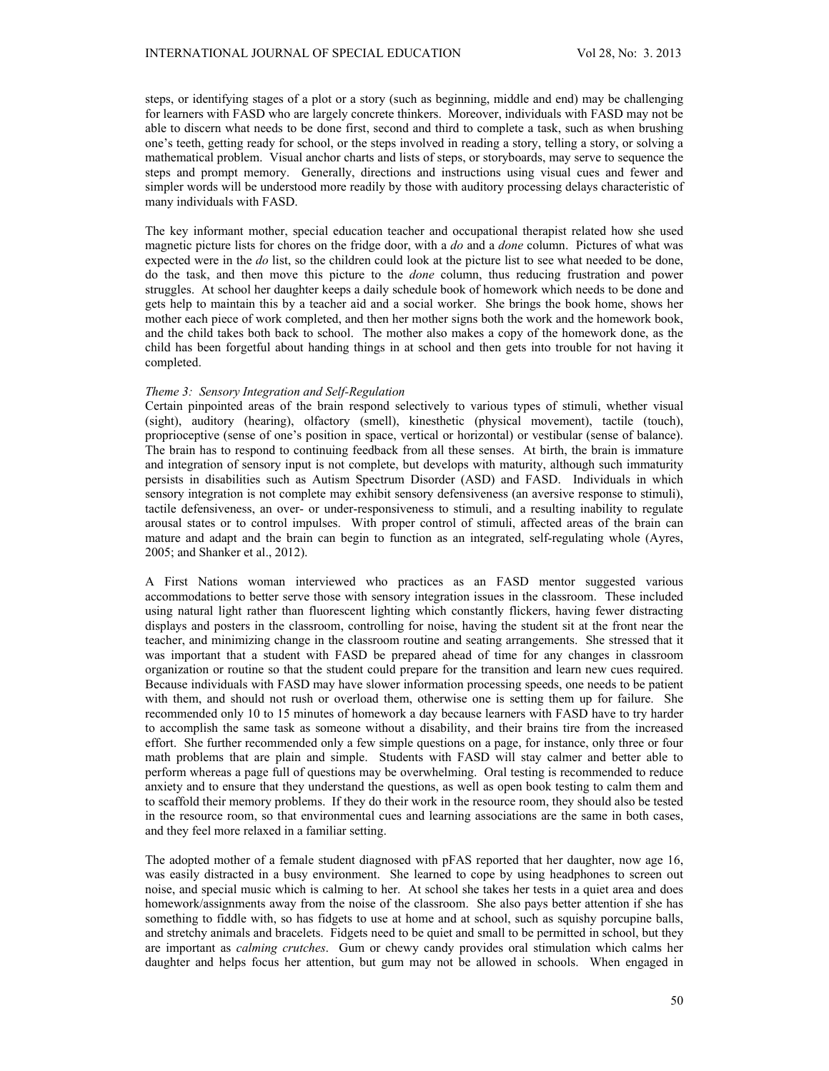steps, or identifying stages of a plot or a story (such as beginning, middle and end) may be challenging for learners with FASD who are largely concrete thinkers. Moreover, individuals with FASD may not be able to discern what needs to be done first, second and third to complete a task, such as when brushing one's teeth, getting ready for school, or the steps involved in reading a story, telling a story, or solving a mathematical problem. Visual anchor charts and lists of steps, or storyboards, may serve to sequence the steps and prompt memory. Generally, directions and instructions using visual cues and fewer and simpler words will be understood more readily by those with auditory processing delays characteristic of many individuals with FASD.

The key informant mother, special education teacher and occupational therapist related how she used magnetic picture lists for chores on the fridge door, with a *do* and a *done* column. Pictures of what was expected were in the *do* list, so the children could look at the picture list to see what needed to be done, do the task, and then move this picture to the *done* column, thus reducing frustration and power struggles. At school her daughter keeps a daily schedule book of homework which needs to be done and gets help to maintain this by a teacher aid and a social worker. She brings the book home, shows her mother each piece of work completed, and then her mother signs both the work and the homework book, and the child takes both back to school. The mother also makes a copy of the homework done, as the child has been forgetful about handing things in at school and then gets into trouble for not having it completed.

#### *Theme 3: Sensory Integration and Self-Regulation*

Certain pinpointed areas of the brain respond selectively to various types of stimuli, whether visual (sight), auditory (hearing), olfactory (smell), kinesthetic (physical movement), tactile (touch), proprioceptive (sense of one's position in space, vertical or horizontal) or vestibular (sense of balance). The brain has to respond to continuing feedback from all these senses. At birth, the brain is immature and integration of sensory input is not complete, but develops with maturity, although such immaturity persists in disabilities such as Autism Spectrum Disorder (ASD) and FASD. Individuals in which sensory integration is not complete may exhibit sensory defensiveness (an aversive response to stimuli), tactile defensiveness, an over- or under-responsiveness to stimuli, and a resulting inability to regulate arousal states or to control impulses. With proper control of stimuli, affected areas of the brain can mature and adapt and the brain can begin to function as an integrated, self-regulating whole (Ayres, 2005; and Shanker et al., 2012).

A First Nations woman interviewed who practices as an FASD mentor suggested various accommodations to better serve those with sensory integration issues in the classroom. These included using natural light rather than fluorescent lighting which constantly flickers, having fewer distracting displays and posters in the classroom, controlling for noise, having the student sit at the front near the teacher, and minimizing change in the classroom routine and seating arrangements. She stressed that it was important that a student with FASD be prepared ahead of time for any changes in classroom organization or routine so that the student could prepare for the transition and learn new cues required. Because individuals with FASD may have slower information processing speeds, one needs to be patient with them, and should not rush or overload them, otherwise one is setting them up for failure. She recommended only 10 to 15 minutes of homework a day because learners with FASD have to try harder to accomplish the same task as someone without a disability, and their brains tire from the increased effort. She further recommended only a few simple questions on a page, for instance, only three or four math problems that are plain and simple. Students with FASD will stay calmer and better able to perform whereas a page full of questions may be overwhelming. Oral testing is recommended to reduce anxiety and to ensure that they understand the questions, as well as open book testing to calm them and to scaffold their memory problems. If they do their work in the resource room, they should also be tested in the resource room, so that environmental cues and learning associations are the same in both cases, and they feel more relaxed in a familiar setting.

The adopted mother of a female student diagnosed with pFAS reported that her daughter, now age 16, was easily distracted in a busy environment. She learned to cope by using headphones to screen out noise, and special music which is calming to her. At school she takes her tests in a quiet area and does homework/assignments away from the noise of the classroom. She also pays better attention if she has something to fiddle with, so has fidgets to use at home and at school, such as squishy porcupine balls, and stretchy animals and bracelets. Fidgets need to be quiet and small to be permitted in school, but they are important as *calming crutches*. Gum or chewy candy provides oral stimulation which calms her daughter and helps focus her attention, but gum may not be allowed in schools. When engaged in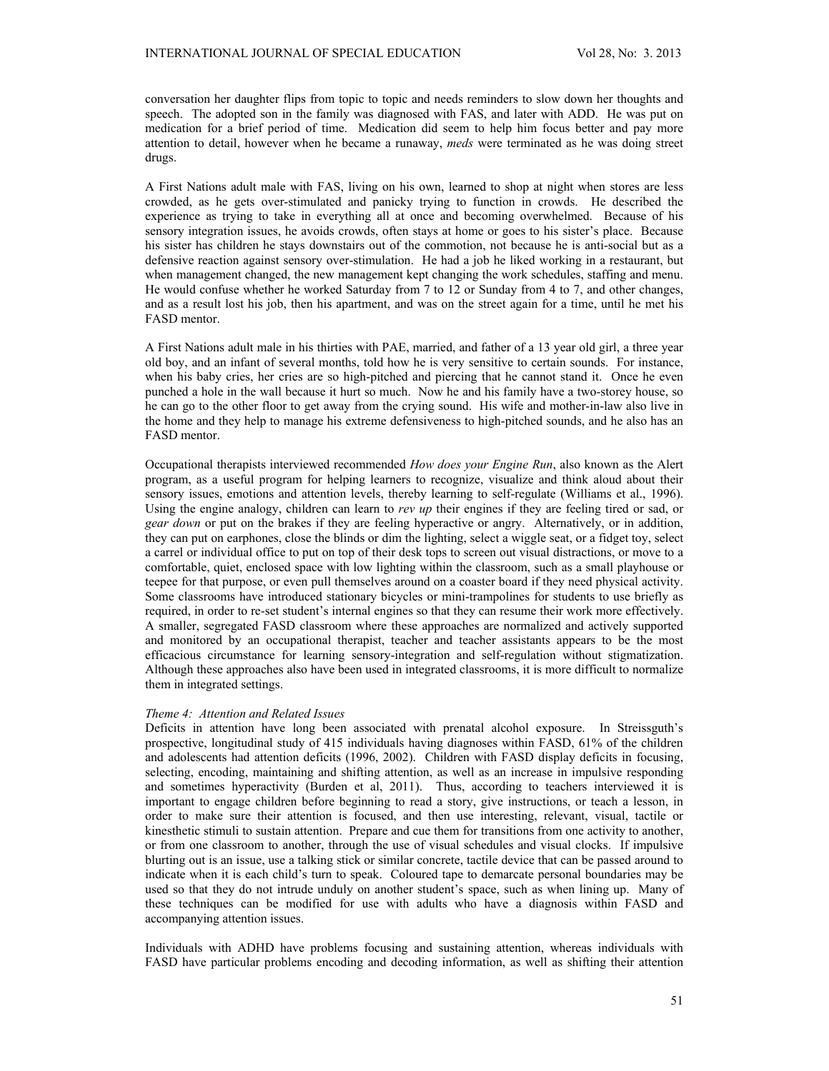conversation her daughter flips from topic to topic and needs reminders to slow down her thoughts and speech. The adopted son in the family was diagnosed with FAS, and later with ADD. He was put on medication for a brief period of time. Medication did seem to help him focus better and pay more attention to detail, however when he became a runaway, *meds* were terminated as he was doing street drugs.

A First Nations adult male with FAS, living on his own, learned to shop at night when stores are less crowded, as he gets over-stimulated and panicky trying to function in crowds. He described the experience as trying to take in everything all at once and becoming overwhelmed. Because of his sensory integration issues, he avoids crowds, often stays at home or goes to his sister's place. Because his sister has children he stays downstairs out of the commotion, not because he is anti-social but as a defensive reaction against sensory over-stimulation. He had a job he liked working in a restaurant, but when management changed, the new management kept changing the work schedules, staffing and menu. He would confuse whether he worked Saturday from 7 to 12 or Sunday from 4 to 7, and other changes, and as a result lost his job, then his apartment, and was on the street again for a time, until he met his FASD mentor.

A First Nations adult male in his thirties with PAE, married, and father of a 13 year old girl, a three year old boy, and an infant of several months, told how he is very sensitive to certain sounds. For instance, when his baby cries, her cries are so high-pitched and piercing that he cannot stand it. Once he even punched a hole in the wall because it hurt so much. Now he and his family have a two-storey house, so he can go to the other floor to get away from the crying sound. His wife and mother-in-law also live in the home and they help to manage his extreme defensiveness to high-pitched sounds, and he also has an FASD mentor.

Occupational therapists interviewed recommended *How does your Engine Run*, also known as the Alert program, as a useful program for helping learners to recognize, visualize and think aloud about their sensory issues, emotions and attention levels, thereby learning to self-regulate (Williams et al., 1996). Using the engine analogy, children can learn to *rev up* their engines if they are feeling tired or sad, or *gear down* or put on the brakes if they are feeling hyperactive or angry. Alternatively, or in addition, they can put on earphones, close the blinds or dim the lighting, select a wiggle seat, or a fidget toy, select a carrel or individual office to put on top of their desk tops to screen out visual distractions, or move to a comfortable, quiet, enclosed space with low lighting within the classroom, such as a small playhouse or teepee for that purpose, or even pull themselves around on a coaster board if they need physical activity. Some classrooms have introduced stationary bicycles or mini-trampolines for students to use briefly as required, in order to re-set student's internal engines so that they can resume their work more effectively. A smaller, segregated FASD classroom where these approaches are normalized and actively supported and monitored by an occupational therapist, teacher and teacher assistants appears to be the most efficacious circumstance for learning sensory-integration and self-regulation without stigmatization. Although these approaches also have been used in integrated classrooms, it is more difficult to normalize them in integrated settings.

#### *Theme 4: Attention and Related Issues*

Deficits in attention have long been associated with prenatal alcohol exposure. In Streissguth's prospective, longitudinal study of 415 individuals having diagnoses within FASD, 61% of the children and adolescents had attention deficits (1996, 2002). Children with FASD display deficits in focusing, selecting, encoding, maintaining and shifting attention, as well as an increase in impulsive responding and sometimes hyperactivity (Burden et al, 2011). Thus, according to teachers interviewed it is important to engage children before beginning to read a story, give instructions, or teach a lesson, in order to make sure their attention is focused, and then use interesting, relevant, visual, tactile or kinesthetic stimuli to sustain attention. Prepare and cue them for transitions from one activity to another, or from one classroom to another, through the use of visual schedules and visual clocks. If impulsive blurting out is an issue, use a talking stick or similar concrete, tactile device that can be passed around to indicate when it is each child's turn to speak. Coloured tape to demarcate personal boundaries may be used so that they do not intrude unduly on another student's space, such as when lining up. Many of these techniques can be modified for use with adults who have a diagnosis within FASD and accompanying attention issues.

Individuals with ADHD have problems focusing and sustaining attention, whereas individuals with FASD have particular problems encoding and decoding information, as well as shifting their attention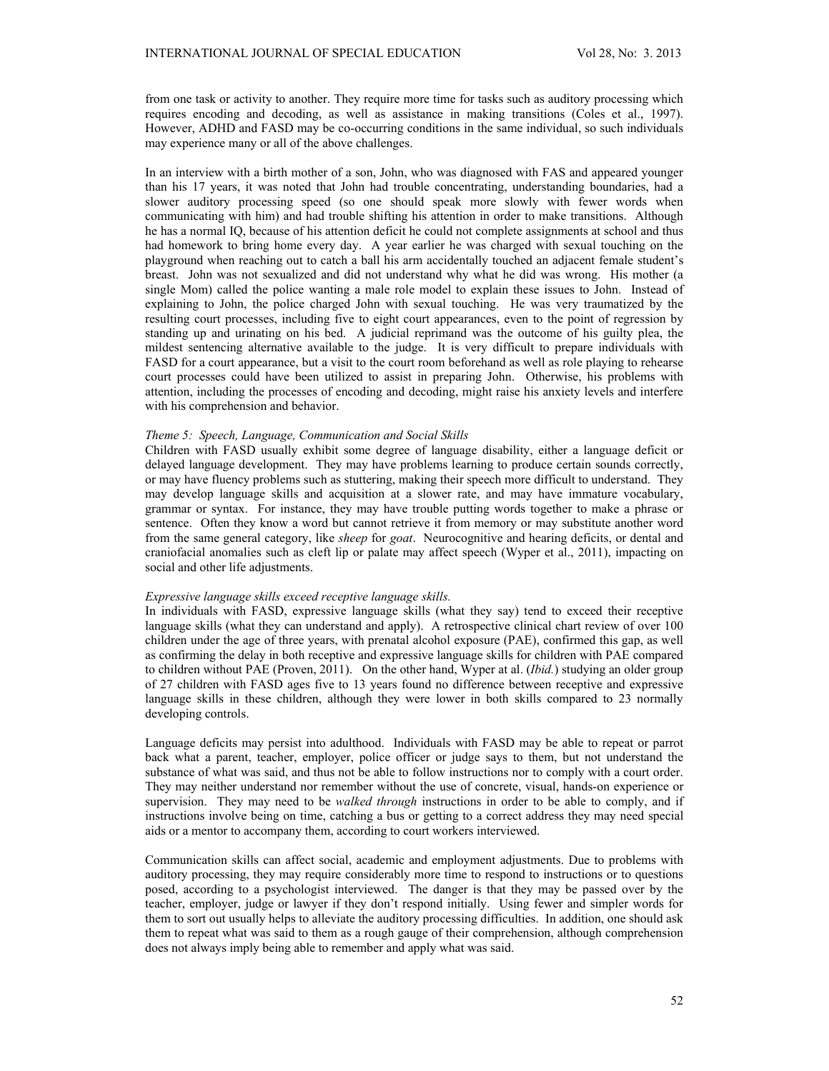from one task or activity to another. They require more time for tasks such as auditory processing which requires encoding and decoding, as well as assistance in making transitions (Coles et al., 1997). However, ADHD and FASD may be co-occurring conditions in the same individual, so such individuals may experience many or all of the above challenges.

In an interview with a birth mother of a son, John, who was diagnosed with FAS and appeared younger than his 17 years, it was noted that John had trouble concentrating, understanding boundaries, had a slower auditory processing speed (so one should speak more slowly with fewer words when communicating with him) and had trouble shifting his attention in order to make transitions. Although he has a normal IQ, because of his attention deficit he could not complete assignments at school and thus had homework to bring home every day. A year earlier he was charged with sexual touching on the playground when reaching out to catch a ball his arm accidentally touched an adjacent female student's breast. John was not sexualized and did not understand why what he did was wrong. His mother (a single Mom) called the police wanting a male role model to explain these issues to John. Instead of explaining to John, the police charged John with sexual touching. He was very traumatized by the resulting court processes, including five to eight court appearances, even to the point of regression by standing up and urinating on his bed. A judicial reprimand was the outcome of his guilty plea, the mildest sentencing alternative available to the judge.It is very difficult to prepare individuals with FASD for a court appearance, but a visit to the court room beforehand as well as role playing to rehearse court processes could have been utilized to assist in preparing John. Otherwise, his problems with attention, including the processes of encoding and decoding, might raise his anxiety levels and interfere with his comprehension and behavior.

#### *Theme 5: Speech, Language, Communication and Social Skills*

Children with FASD usually exhibit some degree of language disability, either a language deficit or delayed language development. They may have problems learning to produce certain sounds correctly, or may have fluency problems such as stuttering, making their speech more difficult to understand. They may develop language skills and acquisition at a slower rate, and may have immature vocabulary, grammar or syntax. For instance, they may have trouble putting words together to make a phrase or sentence. Often they know a word but cannot retrieve it from memory or may substitute another word from the same general category, like *sheep* for *goat*. Neurocognitive and hearing deficits, or dental and craniofacial anomalies such as cleft lip or palate may affect speech (Wyper et al., 2011), impacting on social and other life adjustments.

#### *Expressive language skills exceed receptive language skills.*

In individuals with FASD, expressive language skills (what they say) tend to exceed their receptive language skills (what they can understand and apply). A retrospective clinical chart review of over 100 children under the age of three years, with prenatal alcohol exposure (PAE), confirmed this gap, as well as confirming the delay in both receptive and expressive language skills for children with PAE compared to children without PAE (Proven, 2011). On the other hand, Wyper at al. (*Ibid.*) studying an older group of 27 children with FASD ages five to 13 years found no difference between receptive and expressive language skills in these children, although they were lower in both skills compared to 23 normally developing controls.

Language deficits may persist into adulthood. Individuals with FASD may be able to repeat or parrot back what a parent, teacher, employer, police officer or judge says to them, but not understand the substance of what was said, and thus not be able to follow instructions nor to comply with a court order. They may neither understand nor remember without the use of concrete, visual, hands-on experience or supervision. They may need to be *walked through* instructions in order to be able to comply, and if instructions involve being on time, catching a bus or getting to a correct address they may need special aids or a mentor to accompany them, according to court workers interviewed.

Communication skills can affect social, academic and employment adjustments. Due to problems with auditory processing, they may require considerably more time to respond to instructions or to questions posed, according to a psychologist interviewed. The danger is that they may be passed over by the teacher, employer, judge or lawyer if they don't respond initially. Using fewer and simpler words for them to sort out usually helps to alleviate the auditory processing difficulties. In addition, one should ask them to repeat what was said to them as a rough gauge of their comprehension, although comprehension does not always imply being able to remember and apply what was said.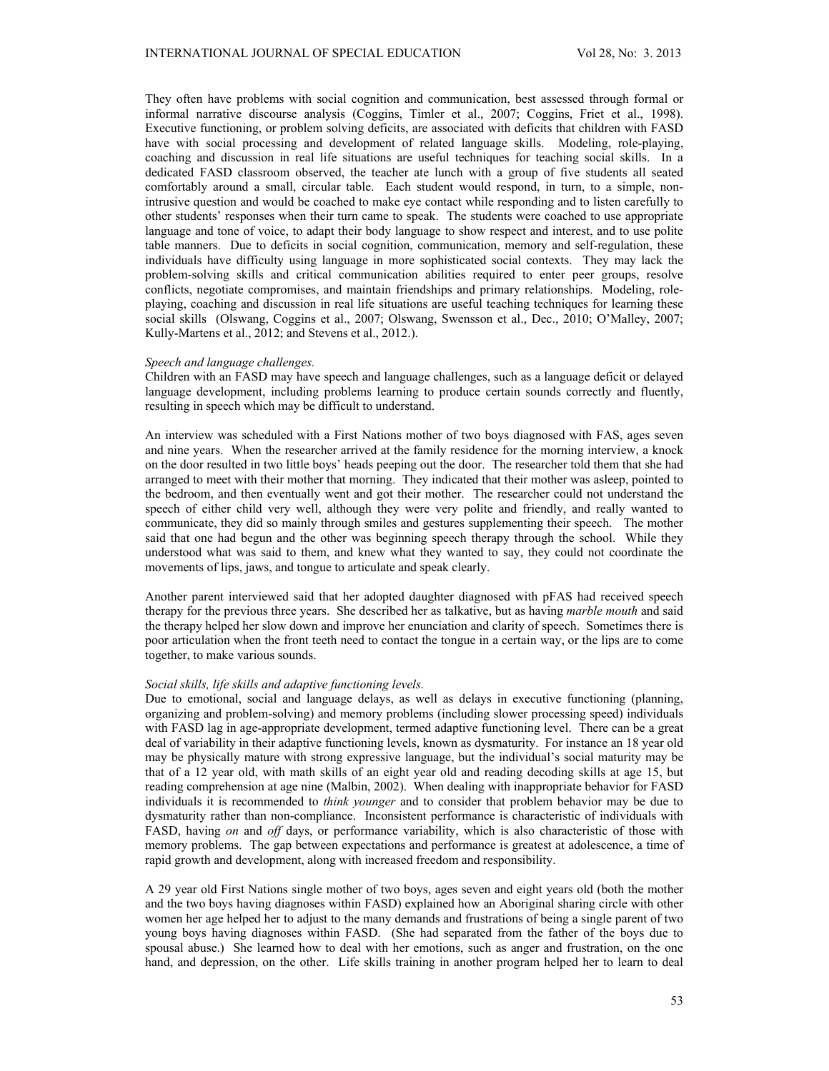They often have problems with social cognition and communication, best assessed through formal or informal narrative discourse analysis (Coggins, Timler et al., 2007; Coggins, Friet et al., 1998). Executive functioning, or problem solving deficits, are associated with deficits that children with FASD have with social processing and development of related language skills. Modeling, role-playing, coaching and discussion in real life situations are useful techniques for teaching social skills. In a dedicated FASD classroom observed, the teacher ate lunch with a group of five students all seated comfortably around a small, circular table. Each student would respond, in turn, to a simple, nonintrusive question and would be coached to make eye contact while responding and to listen carefully to other students' responses when their turn came to speak. The students were coached to use appropriate language and tone of voice, to adapt their body language to show respect and interest, and to use polite table manners. Due to deficits in social cognition, communication, memory and self-regulation, these individuals have difficulty using language in more sophisticated social contexts. They may lack the problem-solving skills and critical communication abilities required to enter peer groups, resolve conflicts, negotiate compromises, and maintain friendships and primary relationships. Modeling, roleplaying, coaching and discussion in real life situations are useful teaching techniques for learning these social skills (Olswang, Coggins et al., 2007; Olswang, Swensson et al., Dec., 2010; O'Malley, 2007; Kully-Martens et al., 2012; and Stevens et al., 2012.).

#### *Speech and language challenges.*

Children with an FASD may have speech and language challenges, such as a language deficit or delayed language development, including problems learning to produce certain sounds correctly and fluently, resulting in speech which may be difficult to understand.

An interview was scheduled with a First Nations mother of two boys diagnosed with FAS, ages seven and nine years. When the researcher arrived at the family residence for the morning interview, a knock on the door resulted in two little boys' heads peeping out the door. The researcher told them that she had arranged to meet with their mother that morning. They indicated that their mother was asleep, pointed to the bedroom, and then eventually went and got their mother. The researcher could not understand the speech of either child very well, although they were very polite and friendly, and really wanted to communicate, they did so mainly through smiles and gestures supplementing their speech. The mother said that one had begun and the other was beginning speech therapy through the school. While they understood what was said to them, and knew what they wanted to say, they could not coordinate the movements of lips, jaws, and tongue to articulate and speak clearly.

Another parent interviewed said that her adopted daughter diagnosed with pFAS had received speech therapy for the previous three years. She described her as talkative, but as having *marble mouth* and said the therapy helped her slow down and improve her enunciation and clarity of speech. Sometimes there is poor articulation when the front teeth need to contact the tongue in a certain way, or the lips are to come together, to make various sounds.

### *Social skills, life skills and adaptive functioning levels.*

Due to emotional, social and language delays, as well as delays in executive functioning (planning, organizing and problem-solving) and memory problems (including slower processing speed) individuals with FASD lag in age-appropriate development, termed adaptive functioning level. There can be a great deal of variability in their adaptive functioning levels, known as dysmaturity. For instance an 18 year old may be physically mature with strong expressive language, but the individual's social maturity may be that of a 12 year old, with math skills of an eight year old and reading decoding skills at age 15, but reading comprehension at age nine (Malbin, 2002). When dealing with inappropriate behavior for FASD individuals it is recommended to *think younger* and to consider that problem behavior may be due to dysmaturity rather than non-compliance. Inconsistent performance is characteristic of individuals with FASD, having *on* and *off* days, or performance variability, which is also characteristic of those with memory problems. The gap between expectations and performance is greatest at adolescence, a time of rapid growth and development, along with increased freedom and responsibility.

A 29 year old First Nations single mother of two boys, ages seven and eight years old (both the mother and the two boys having diagnoses within FASD) explained how an Aboriginal sharing circle with other women her age helped her to adjust to the many demands and frustrations of being a single parent of two young boys having diagnoses within FASD. (She had separated from the father of the boys due to spousal abuse.) She learned how to deal with her emotions, such as anger and frustration, on the one hand, and depression, on the other. Life skills training in another program helped her to learn to deal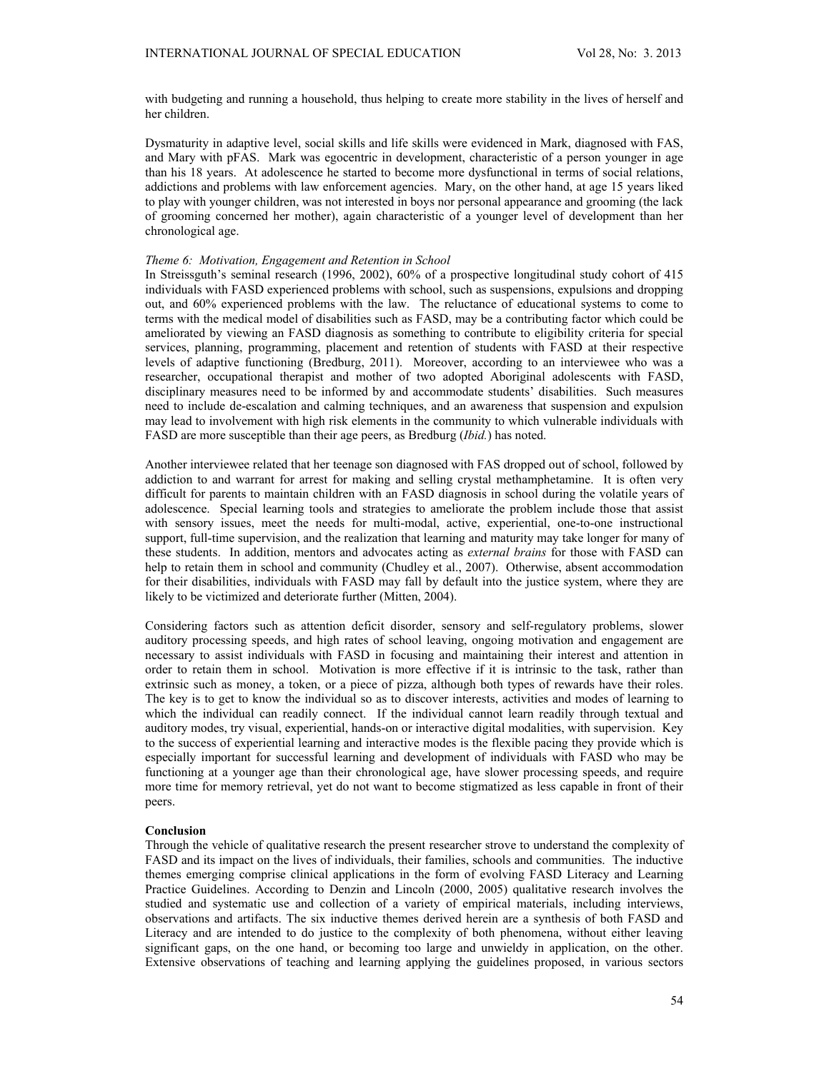with budgeting and running a household, thus helping to create more stability in the lives of herself and her children.

Dysmaturity in adaptive level, social skills and life skills were evidenced in Mark, diagnosed with FAS, and Mary with pFAS. Mark was egocentric in development, characteristic of a person younger in age than his 18 years. At adolescence he started to become more dysfunctional in terms of social relations, addictions and problems with law enforcement agencies. Mary, on the other hand, at age 15 years liked to play with younger children, was not interested in boys nor personal appearance and grooming (the lack of grooming concerned her mother), again characteristic of a younger level of development than her chronological age.

### *Theme 6: Motivation, Engagement and Retention in School*

In Streissguth's seminal research (1996, 2002), 60% of a prospective longitudinal study cohort of 415 individuals with FASD experienced problems with school, such as suspensions, expulsions and dropping out, and 60% experienced problems with the law. The reluctance of educational systems to come to terms with the medical model of disabilities such as FASD, may be a contributing factor which could be ameliorated by viewing an FASD diagnosis as something to contribute to eligibility criteria for special services, planning, programming, placement and retention of students with FASD at their respective levels of adaptive functioning (Bredburg, 2011). Moreover, according to an interviewee who was a researcher, occupational therapist and mother of two adopted Aboriginal adolescents with FASD, disciplinary measures need to be informed by and accommodate students' disabilities. Such measures need to include de-escalation and calming techniques, and an awareness that suspension and expulsion may lead to involvement with high risk elements in the community to which vulnerable individuals with FASD are more susceptible than their age peers, as Bredburg (*Ibid.*) has noted.

Another interviewee related that her teenage son diagnosed with FAS dropped out of school, followed by addiction to and warrant for arrest for making and selling crystal methamphetamine. It is often very difficult for parents to maintain children with an FASD diagnosis in school during the volatile years of adolescence. Special learning tools and strategies to ameliorate the problem include those that assist with sensory issues, meet the needs for multi-modal, active, experiential, one-to-one instructional support, full-time supervision, and the realization that learning and maturity may take longer for many of these students. In addition, mentors and advocates acting as *external brains* for those with FASD can help to retain them in school and community (Chudley et al., 2007). Otherwise, absent accommodation for their disabilities, individuals with FASD may fall by default into the justice system, where they are likely to be victimized and deteriorate further (Mitten, 2004).

Considering factors such as attention deficit disorder, sensory and self-regulatory problems, slower auditory processing speeds, and high rates of school leaving, ongoing motivation and engagement are necessary to assist individuals with FASD in focusing and maintaining their interest and attention in order to retain them in school. Motivation is more effective if it is intrinsic to the task, rather than extrinsic such as money, a token, or a piece of pizza, although both types of rewards have their roles. The key is to get to know the individual so as to discover interests, activities and modes of learning to which the individual can readily connect. If the individual cannot learn readily through textual and auditory modes, try visual, experiential, hands-on or interactive digital modalities, with supervision. Key to the success of experiential learning and interactive modes is the flexible pacing they provide which is especially important for successful learning and development of individuals with FASD who may be functioning at a younger age than their chronological age, have slower processing speeds, and require more time for memory retrieval, yet do not want to become stigmatized as less capable in front of their peers.

### **Conclusion**

Through the vehicle of qualitative research the present researcher strove to understand the complexity of FASD and its impact on the lives of individuals, their families, schools and communities. The inductive themes emerging comprise clinical applications in the form of evolving FASD Literacy and Learning Practice Guidelines. According to Denzin and Lincoln (2000, 2005) qualitative research involves the studied and systematic use and collection of a variety of empirical materials, including interviews, observations and artifacts. The six inductive themes derived herein are a synthesis of both FASD and Literacy and are intended to do justice to the complexity of both phenomena, without either leaving significant gaps, on the one hand, or becoming too large and unwieldy in application, on the other. Extensive observations of teaching and learning applying the guidelines proposed, in various sectors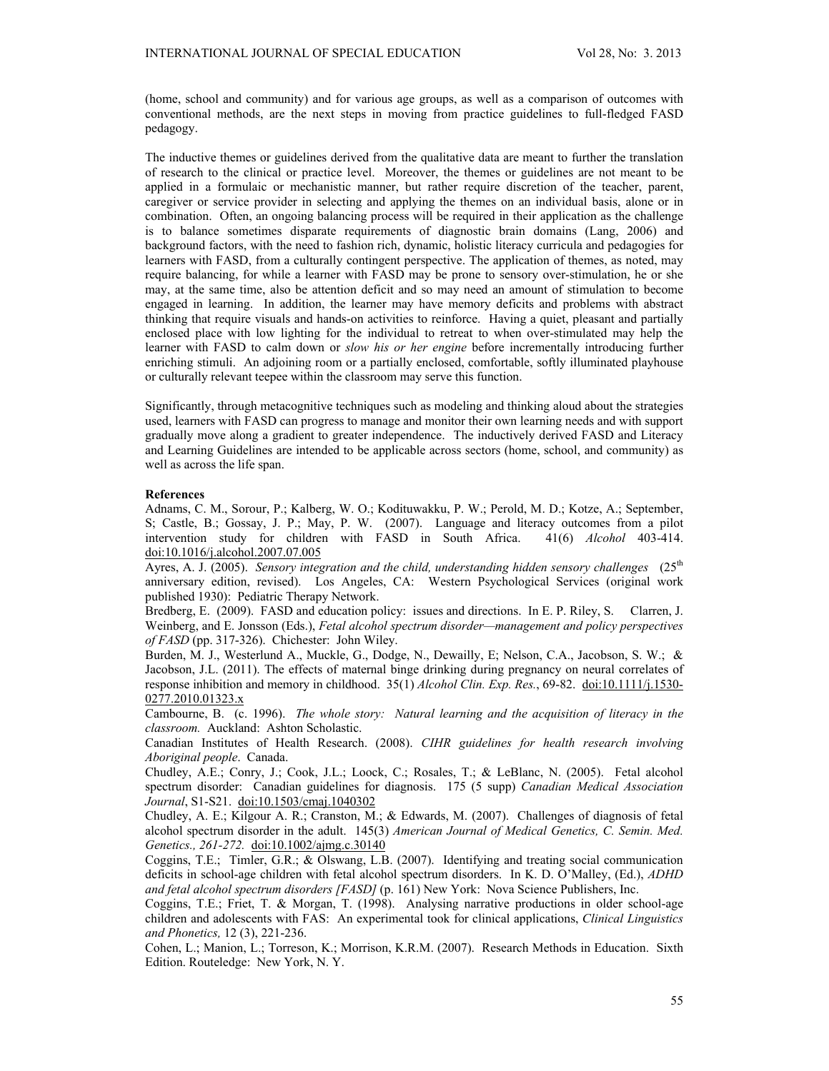(home, school and community) and for various age groups, as well as a comparison of outcomes with conventional methods, are the next steps in moving from practice guidelines to full-fledged FASD pedagogy.

The inductive themes or guidelines derived from the qualitative data are meant to further the translation of research to the clinical or practice level. Moreover, the themes or guidelines are not meant to be applied in a formulaic or mechanistic manner, but rather require discretion of the teacher, parent, caregiver or service provider in selecting and applying the themes on an individual basis, alone or in combination. Often, an ongoing balancing process will be required in their application as the challenge is to balance sometimes disparate requirements of diagnostic brain domains (Lang, 2006) and background factors, with the need to fashion rich, dynamic, holistic literacy curricula and pedagogies for learners with FASD, from a culturally contingent perspective. The application of themes, as noted, may require balancing, for while a learner with FASD may be prone to sensory over-stimulation, he or she may, at the same time, also be attention deficit and so may need an amount of stimulation to become engaged in learning. In addition, the learner may have memory deficits and problems with abstract thinking that require visuals and hands-on activities to reinforce. Having a quiet, pleasant and partially enclosed place with low lighting for the individual to retreat to when over-stimulated may help the learner with FASD to calm down or *slow his or her engine* before incrementally introducing further enriching stimuli. An adjoining room or a partially enclosed, comfortable, softly illuminated playhouse or culturally relevant teepee within the classroom may serve this function.

Significantly, through metacognitive techniques such as modeling and thinking aloud about the strategies used, learners with FASD can progress to manage and monitor their own learning needs and with support gradually move along a gradient to greater independence. The inductively derived FASD and Literacy and Learning Guidelines are intended to be applicable across sectors (home, school, and community) as well as across the life span.

#### **References**

Adnams, C. M., Sorour, P.; Kalberg, W. O.; Kodituwakku, P. W.; Perold, M. D.; Kotze, A.; September, S; Castle, B.; Gossay, J. P.; May, P. W. (2007). Language and literacy outcomes from a pilot intervention study for children with FASD in South Africa. 41(6) *Alcohol* 403-414. doi:10.1016/j.alcohol.2007.07.005

Ayres, A. J. (2005). *Sensory integration and the child, understanding hidden sensory challenges* (25<sup>th</sup> anniversary edition, revised). Los Angeles, CA: Western Psychological Services (original work published 1930): Pediatric Therapy Network.

Bredberg, E. (2009). FASD and education policy: issues and directions. In E. P. Riley, S. Clarren, J. Weinberg, and E. Jonsson (Eds.), *Fetal alcohol spectrum disorder—management and policy perspectives of FASD* (pp. 317-326). Chichester: John Wiley.

Burden, M. J., Westerlund A., Muckle, G., Dodge, N., Dewailly, E; Nelson, C.A., Jacobson, S. W.; & Jacobson, J.L. (2011). The effects of maternal binge drinking during pregnancy on neural correlates of response inhibition and memory in childhood. 35(1) *Alcohol Clin. Exp. Res.*, 69-82. doi:10.1111/j.1530- 0277.2010.01323.x

Cambourne, B. (c. 1996). *The whole story: Natural learning and the acquisition of literacy in the classroom.* Auckland: Ashton Scholastic.

Canadian Institutes of Health Research. (2008). *CIHR guidelines for health research involving Aboriginal people*. Canada.

Chudley, A.E.; Conry, J.; Cook, J.L.; Loock, C.; Rosales, T.; & LeBlanc, N. (2005). Fetal alcohol spectrum disorder: Canadian guidelines for diagnosis. 175 (5 supp) *Canadian Medical Association Journal*, S1-S21. doi:10.1503/cmaj.1040302

Chudley, A. E.; Kilgour A. R.; Cranston, M.; & Edwards, M. (2007). Challenges of diagnosis of fetal alcohol spectrum disorder in the adult. 145(3) *American Journal of Medical Genetics, C. Semin. Med. Genetics., 261-272.* doi:10.1002/ajmg.c.30140

Coggins, T.E.; Timler, G.R.; & Olswang, L.B. (2007). Identifying and treating social communication deficits in school-age children with fetal alcohol spectrum disorders. In K. D. O'Malley, (Ed.), *ADHD and fetal alcohol spectrum disorders [FASD]* (p. 161) New York: Nova Science Publishers, Inc.

Coggins, T.E.; Friet, T. & Morgan, T. (1998). Analysing narrative productions in older school-age children and adolescents with FAS: An experimental took for clinical applications, *Clinical Linguistics and Phonetics,* 12 (3), 221-236.

Cohen, L.; Manion, L.; Torreson, K.; Morrison, K.R.M. (2007). Research Methods in Education. Sixth Edition. Routeledge: New York, N. Y.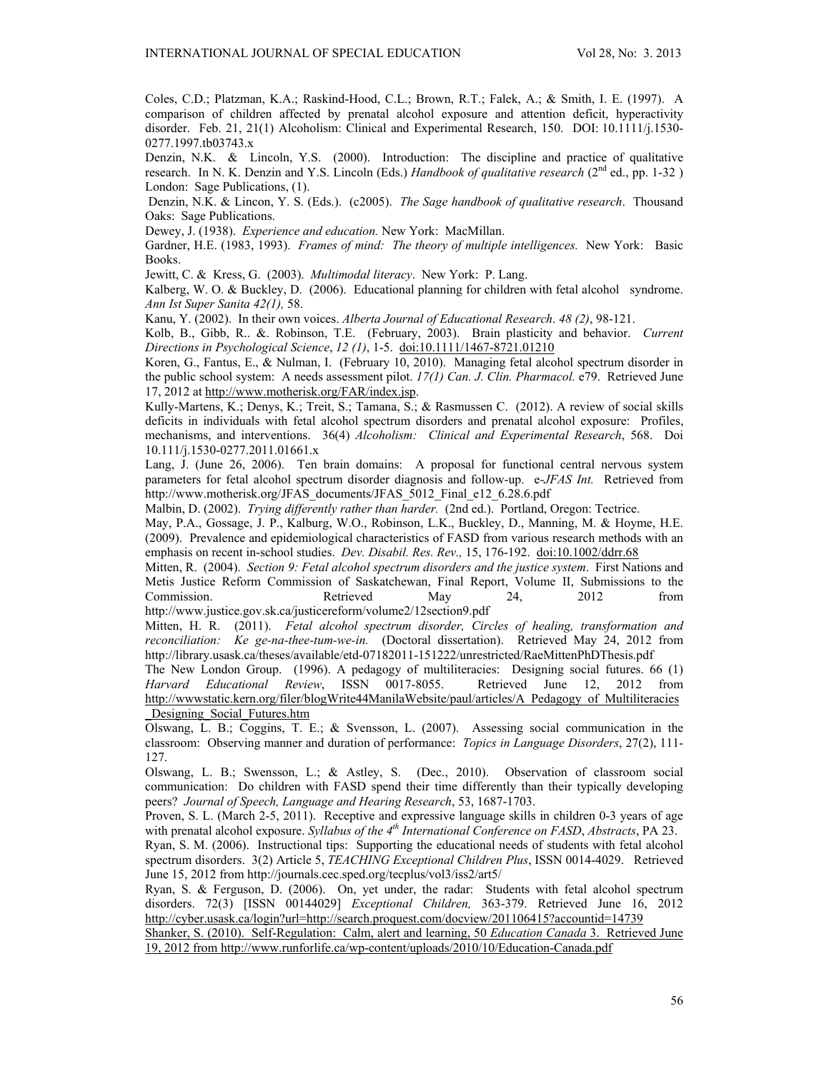Coles, C.D.; Platzman, K.A.; Raskind-Hood, C.L.; Brown, R.T.; Falek, A.; & Smith, I. E. (1997). A comparison of children affected by prenatal alcohol exposure and attention deficit, hyperactivity disorder. Feb. 21, 21(1) Alcoholism: Clinical and Experimental Research, 150. DOI: 10.1111/j.1530- 0277.1997.tb03743.x

Denzin, N.K. & Lincoln, Y.S. (2000). Introduction: The discipline and practice of qualitative research. In N. K. Denzin and Y.S. Lincoln (Eds.) *Handbook of qualitative research* (2<sup>nd</sup> ed., pp. 1-32 ) London: Sage Publications, (1).

 Denzin, N.K. & Lincon, Y. S. (Eds.). (c2005). *The Sage handbook of qualitative research*. Thousand Oaks: Sage Publications.

Dewey, J. (1938). *Experience and education.* New York: MacMillan.

Gardner, H.E. (1983, 1993). *Frames of mind: The theory of multiple intelligences.* New York: Basic Books.

Jewitt, C. & Kress, G. (2003). *Multimodal literacy*. New York: P. Lang.

Kalberg, W. O. & Buckley, D. (2006). Educational planning for children with fetal alcohol syndrome. *Ann Ist Super Sanita 42(1),* 58.

Kanu, Y. (2002). In their own voices. *Alberta Journal of Educational Research*. *48 (2)*, 98-121.

Kolb, B., Gibb, R.. &. Robinson, T.E. (February, 2003). Brain plasticity and behavior. *Current Directions in Psychological Science*, *12 (1)*, 1-5. doi:10.1111/1467-8721.01210

Koren, G., Fantus, E., & Nulman, I. (February 10, 2010). Managing fetal alcohol spectrum disorder in the public school system: A needs assessment pilot. *17(1) Can. J. Clin. Pharmacol.* e79. Retrieved June 17, 2012 at http://www.motherisk.org/FAR/index.jsp.

Kully-Martens, K.; Denys, K.; Treit, S.; Tamana, S.; & Rasmussen C. (2012). A review of social skills deficits in individuals with fetal alcohol spectrum disorders and prenatal alcohol exposure: Profiles, mechanisms, and interventions. 36(4) *Alcoholism: Clinical and Experimental Research*, 568. Doi 10.111/j.1530-0277.2011.01661.x

Lang, J. (June 26, 2006). Ten brain domains: A proposal for functional central nervous system parameters for fetal alcohol spectrum disorder diagnosis and follow-up. e-*JFAS Int.* Retrieved from http://www.motherisk.org/JFAS\_documents/JFAS\_5012\_Final\_e12\_6.28.6.pdf

Malbin, D. (2002). *Trying differently rather than harder.* (2nd ed.). Portland, Oregon: Tectrice.

May, P.A., Gossage, J. P., Kalburg, W.O., Robinson, L.K., Buckley, D., Manning, M. & Hoyme, H.E. (2009). Prevalence and epidemiological characteristics of FASD from various research methods with an emphasis on recent in-school studies. *Dev. Disabil. Res. Rev.,* 15, 176-192.doi:10.1002/ddrr.68

Mitten, R. (2004). *Section 9: Fetal alcohol spectrum disorders and the justice system*. First Nations and Metis Justice Reform Commission of Saskatchewan, Final Report, Volume II, Submissions to the Commission. Retrieved May 24, 2012 from http://www.justice.gov.sk.ca/justicereform/volume2/12section9.pdf

Mitten, H. R. (2011). *Fetal alcohol spectrum disorder, Circles of healing, transformation and reconciliation: Ke ge-na-thee-tum-we-in.* (Doctoral dissertation). Retrieved May 24, 2012 from http://library.usask.ca/theses/available/etd-07182011-151222/unrestricted/RaeMittenPhDThesis.pdf

The New London Group. (1996). A pedagogy of multiliteracies: Designing social futures. 66 (1) *Harvard Educational Review*, ISSN 0017-8055. Retrieved June 12, 2012 from http://wwwstatic.kern.org/filer/blogWrite44ManilaWebsite/paul/articles/A\_Pedagogy\_of\_Multiliteracies \_Designing\_Social\_Futures.htm

Olswang, L. B.; Coggins, T. E.; & Svensson, L. (2007). Assessing social communication in the classroom: Observing manner and duration of performance: *Topics in Language Disorders*, 27(2), 111- 127.

Olswang, L. B.; Swensson, L.; & Astley, S. (Dec., 2010). Observation of classroom social communication: Do children with FASD spend their time differently than their typically developing peers? *Journal of Speech, Language and Hearing Research*, 53, 1687-1703.

Proven, S. L. (March 2-5, 2011). Receptive and expressive language skills in children 0-3 years of age with prenatal alcohol exposure. *Syllabus of the 4th International Conference on FASD*, *Abstracts*, PA 23.

Ryan, S. M. (2006). Instructional tips: Supporting the educational needs of students with fetal alcohol spectrum disorders. 3(2) Article 5, *TEACHING Exceptional Children Plus*, ISSN 0014-4029. Retrieved June 15, 2012 from http://journals.cec.sped.org/tecplus/vol3/iss2/art5/

Ryan, S. & Ferguson, D. (2006). On, yet under, the radar: Students with fetal alcohol spectrum disorders. 72(3) [ISSN 00144029] *Exceptional Children,* 363-379. Retrieved June 16, 2012 http://cyber.usask.ca/login?url=http://search.proquest.com/docview/201106415?accountid=14739

Shanker, S. (2010). Self-Regulation: Calm, alert and learning, 50 *Education Canada* 3. Retrieved June 19, 2012 from http://www.runforlife.ca/wp-content/uploads/2010/10/Education-Canada.pdf